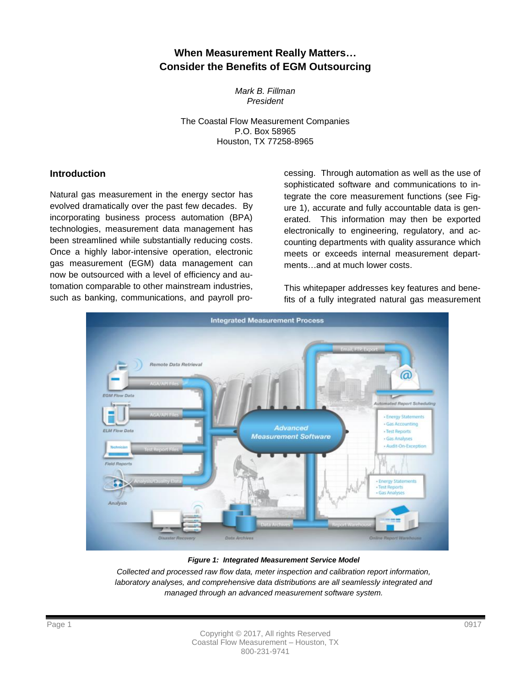## **When Measurement Really Matters… Consider the Benefits of EGM Outsourcing**

*Mark B. Fillman President*

The Coastal Flow Measurement Companies P.O. Box 58965 Houston, TX 77258-8965

#### **Introduction**

Natural gas measurement in the energy sector has evolved dramatically over the past few decades. By incorporating business process automation (BPA) technologies, measurement data management has been streamlined while substantially reducing costs. Once a highly labor-intensive operation, electronic gas measurement (EGM) data management can now be outsourced with a level of efficiency and automation comparable to other mainstream industries, such as banking, communications, and payroll processing. Through automation as well as the use of sophisticated software and communications to integrate the core measurement functions (see Figure 1), accurate and fully accountable data is generated. This information may then be exported electronically to engineering, regulatory, and accounting departments with quality assurance which meets or exceeds internal measurement departments…and at much lower costs.

This whitepaper addresses key features and benefits of a fully integrated natural gas measurement



*Figure 1: Integrated Measurement Service Model*

*Collected and processed raw flow data, meter inspection and calibration report information,*  laboratory analyses, and comprehensive data distributions are all seamlessly integrated and *managed through an advanced measurement software system.*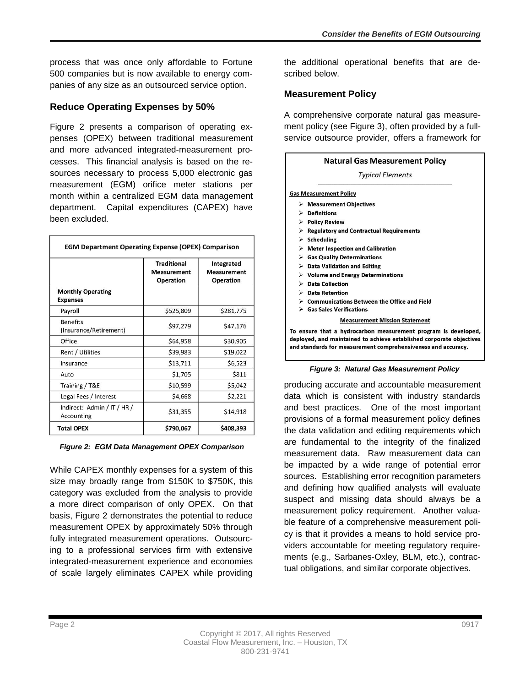process that was once only affordable to Fortune 500 companies but is now available to energy companies of any size as an outsourced service option.

### **Reduce Operating Expenses by 50%**

Figure 2 presents a comparison of operating expenses (OPEX) between traditional measurement and more advanced integrated-measurement processes. This financial analysis is based on the resources necessary to process 5,000 electronic gas measurement (EGM) orifice meter stations per month within a centralized EGM data management department. Capital expenditures (CAPEX) have been excluded.

| <b>EGM Department Operating Expense (OPEX) Comparison</b> |                                                       |                                               |
|-----------------------------------------------------------|-------------------------------------------------------|-----------------------------------------------|
|                                                           | <b>Traditional</b><br><b>Measurement</b><br>Operation | Integrated<br><b>Measurement</b><br>Operation |
| <b>Monthly Operating</b><br><b>Expenses</b>               |                                                       |                                               |
| Payroll                                                   | \$525,809                                             | \$281,775                                     |
| <b>Benefits</b><br>(Insurance/Retirement)                 | \$97,279                                              | \$47,176                                      |
| Office                                                    | \$64,958                                              | \$30,905                                      |
| Rent / Utilities                                          | \$39,983                                              | \$19,022                                      |
| Insurance                                                 | \$13,711                                              | \$6,523                                       |
| Auto                                                      | \$1,705                                               | \$811                                         |
| Training / T&E                                            | \$10,599                                              | \$5,042                                       |
| Legal Fees / Interest                                     | \$4,668                                               | \$2,221                                       |
| Indirect: Admin / IT / HR /<br>Accounting                 | \$31,355                                              | \$14,918                                      |
| <b>Total OPEX</b>                                         | \$790,067                                             | \$408,393                                     |

*Figure 2: EGM Data Management OPEX Comparison*

While CAPEX monthly expenses for a system of this size may broadly range from \$150K to \$750K, this category was excluded from the analysis to provide a more direct comparison of only OPEX. On that basis, Figure 2 demonstrates the potential to reduce measurement OPEX by approximately 50% through fully integrated measurement operations. Outsourcing to a professional services firm with extensive integrated-measurement experience and economies of scale largely eliminates CAPEX while providing

the additional operational benefits that are described below.

#### **Measurement Policy**

A comprehensive corporate natural gas measurement policy (see Figure 3), often provided by a fullservice outsource provider, offers a framework for

|   | Natural Gas Measurement Policy                                                                                                                                                                          |
|---|---------------------------------------------------------------------------------------------------------------------------------------------------------------------------------------------------------|
|   | <b>Typical Elements</b>                                                                                                                                                                                 |
|   | <b>Gas Measurement Policy</b>                                                                                                                                                                           |
|   | $\triangleright$ Measurement Objectives                                                                                                                                                                 |
| ⋗ | <b>Definitions</b>                                                                                                                                                                                      |
|   | > Policy Review                                                                                                                                                                                         |
| ⋗ | <b>Regulatory and Contractual Requirements</b>                                                                                                                                                          |
|   | $\triangleright$ Scheduling                                                                                                                                                                             |
|   | $\triangleright$ Meter Inspection and Calibration                                                                                                                                                       |
|   | $\triangleright$ Gas Quality Determinations                                                                                                                                                             |
|   | $\triangleright$ Data Validation and Editing                                                                                                                                                            |
|   | $\triangleright$ Volume and Energy Determinations                                                                                                                                                       |
|   | $\triangleright$ Data Collection                                                                                                                                                                        |
|   | <b>Data Retention</b>                                                                                                                                                                                   |
|   | $\triangleright$ Communications Between the Office and Field                                                                                                                                            |
|   | $\triangleright$ Gas Sales Verifications                                                                                                                                                                |
|   | <b>Measurement Mission Statement</b>                                                                                                                                                                    |
|   | To ensure that a hydrocarbon measurement program is developed,<br>deployed, and maintained to achieve established corporate objectives<br>and standards for measurement comprehensiveness and accuracy. |



producing accurate and accountable measurement data which is consistent with industry standards and best practices. One of the most important provisions of a formal measurement policy defines the data validation and editing requirements which are fundamental to the integrity of the finalized measurement data. Raw measurement data can be impacted by a wide range of potential error sources. Establishing error recognition parameters and defining how qualified analysts will evaluate suspect and missing data should always be a measurement policy requirement. Another valuable feature of a comprehensive measurement policy is that it provides a means to hold service providers accountable for meeting regulatory requirements (e.g., Sarbanes-Oxley, BLM, etc.), contractual obligations, and similar corporate objectives.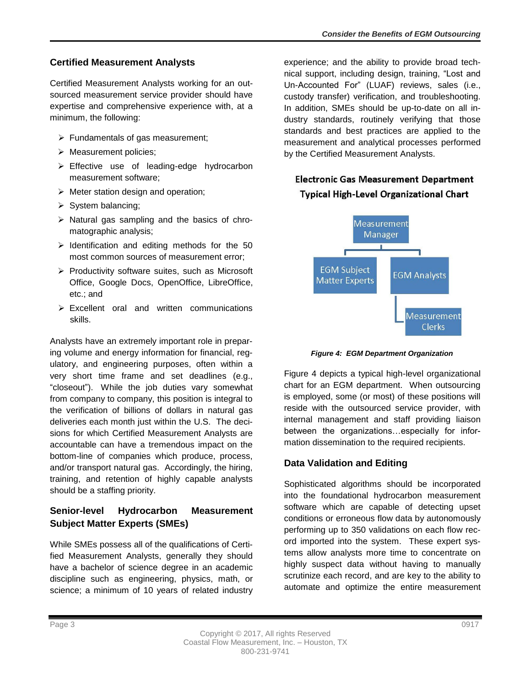## **Certified Measurement Analysts**

Certified Measurement Analysts working for an outsourced measurement service provider should have expertise and comprehensive experience with, at a minimum, the following:

- $\triangleright$  Fundamentals of gas measurement;
- $\triangleright$  Measurement policies;
- Effective use of leading-edge hydrocarbon measurement software;
- $\triangleright$  Meter station design and operation;
- $\triangleright$  System balancing;
- $\triangleright$  Natural gas sampling and the basics of chromatographic analysis;
- $\triangleright$  Identification and editing methods for the 50 most common sources of measurement error;
- $\triangleright$  Productivity software suites, such as Microsoft Office, Google Docs, OpenOffice, LibreOffice, etc.; and
- $\triangleright$  Excellent oral and written communications skills.

Analysts have an extremely important role in preparing volume and energy information for financial, regulatory, and engineering purposes, often within a very short time frame and set deadlines (e.g., "closeout"). While the job duties vary somewhat from company to company, this position is integral to the verification of billions of dollars in natural gas deliveries each month just within the U.S. The decisions for which Certified Measurement Analysts are accountable can have a tremendous impact on the bottom-line of companies which produce, process, and/or transport natural gas. Accordingly, the hiring, training, and retention of highly capable analysts should be a staffing priority.

## **Senior-level Hydrocarbon Measurement Subject Matter Experts (SMEs)**

While SMEs possess all of the qualifications of Certified Measurement Analysts, generally they should have a bachelor of science degree in an academic discipline such as engineering, physics, math, or science; a minimum of 10 years of related industry experience; and the ability to provide broad technical support, including design, training, "Lost and Un-Accounted For" (LUAF) reviews, sales (i.e., custody transfer) verification, and troubleshooting. In addition, SMEs should be up-to-date on all industry standards, routinely verifying that those standards and best practices are applied to the measurement and analytical processes performed by the Certified Measurement Analysts.

# **Electronic Gas Measurement Department Typical High-Level Organizational Chart**



*Figure 4: EGM Department Organization*

Figure 4 depicts a typical high-level organizational chart for an EGM department. When outsourcing is employed, some (or most) of these positions will reside with the outsourced service provider, with internal management and staff providing liaison between the organizations…especially for information dissemination to the required recipients.

## **Data Validation and Editing**

Sophisticated algorithms should be incorporated into the foundational hydrocarbon measurement software which are capable of detecting upset conditions or erroneous flow data by autonomously performing up to 350 validations on each flow record imported into the system. These expert systems allow analysts more time to concentrate on highly suspect data without having to manually scrutinize each record, and are key to the ability to automate and optimize the entire measurement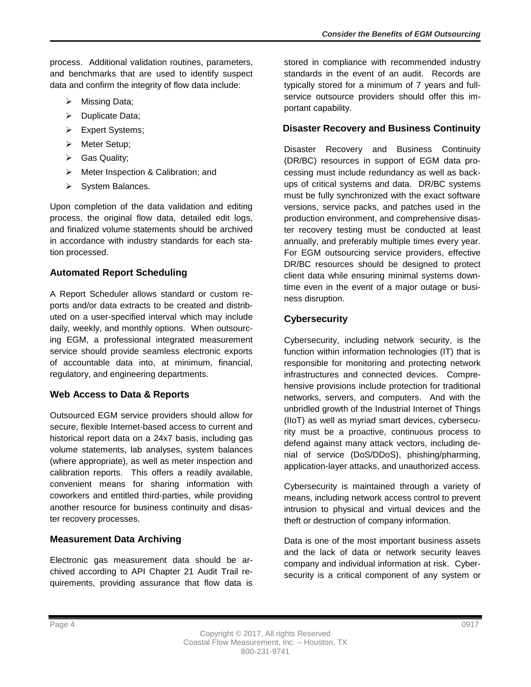process. Additional validation routines, parameters, and benchmarks that are used to identify suspect data and confirm the integrity of flow data include:

- $\triangleright$  Missing Data;
- $\triangleright$  Duplicate Data;
- > Expert Systems;
- > Meter Setup;
- ▶ Gas Quality;
- > Meter Inspection & Calibration; and
- $\triangleright$  System Balances.

Upon completion of the data validation and editing process, the original flow data, detailed edit logs, and finalized volume statements should be archived in accordance with industry standards for each station processed.

### **Automated Report Scheduling**

A Report Scheduler allows standard or custom reports and/or data extracts to be created and distributed on a user-specified interval which may include daily, weekly, and monthly options. When outsourcing EGM, a professional integrated measurement service should provide seamless electronic exports of accountable data into, at minimum, financial, regulatory, and engineering departments.

### **Web Access to Data & Reports**

Outsourced EGM service providers should allow for secure, flexible Internet-based access to current and historical report data on a 24x7 basis, including gas volume statements, lab analyses, system balances (where appropriate), as well as meter inspection and calibration reports. This offers a readily available, convenient means for sharing information with coworkers and entitled third-parties, while providing another resource for business continuity and disaster recovery processes.

## **Measurement Data Archiving**

Electronic gas measurement data should be archived according to API Chapter 21 Audit Trail requirements, providing assurance that flow data is stored in compliance with recommended industry standards in the event of an audit. Records are typically stored for a minimum of 7 years and fullservice outsource providers should offer this important capability.

### **Disaster Recovery and Business Continuity**

Disaster Recovery and Business Continuity (DR/BC) resources in support of EGM data processing must include redundancy as well as backups of critical systems and data. DR/BC systems must be fully synchronized with the exact software versions, service packs, and patches used in the production environment, and comprehensive disaster recovery testing must be conducted at least annually, and preferably multiple times every year. For EGM outsourcing service providers, effective DR/BC resources should be designed to protect client data while ensuring minimal systems downtime even in the event of a major outage or business disruption.

## **Cybersecurity**

Cybersecurity, including network security, is the function within information technologies (IT) that is responsible for monitoring and protecting network infrastructures and connected devices. Comprehensive provisions include protection for traditional networks, servers, and computers. And with the unbridled growth of the Industrial Internet of Things (IIoT) as well as myriad smart devices, cybersecurity must be a proactive, continuous process to defend against many attack vectors, including denial of service (DoS/DDoS), phishing/pharming, application-layer attacks, and unauthorized access.

Cybersecurity is maintained through a variety of means, including network access control to prevent intrusion to physical and virtual devices and the theft or destruction of company information.

Data is one of the most important business assets and the lack of data or network security leaves company and individual information at risk. Cybersecurity is a critical component of any system or